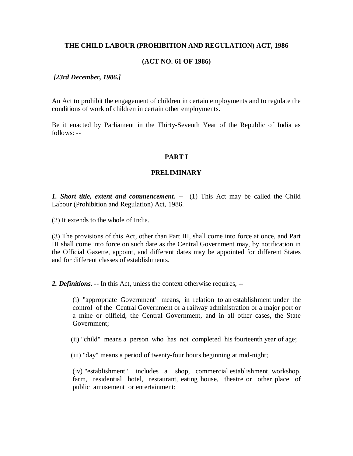## **THE CHILD LABOUR (PROHIBITION AND REGULATION) ACT, 1986**

## **(ACT NO. 61 OF 1986)**

#### *[23rd December, 1986.]*

An Act to prohibit the engagement of children in certain employments and to regulate the conditions of work of children in certain other employments.

Be it enacted by Parliament in the Thirty-Seventh Year of the Republic of India as follows: --

### **PART I**

### **PRELIMINARY**

*1. Short title, extent and commencement. --* (1) This Act may be called the Child Labour (Prohibition and Regulation) Act, 1986.

(2) It extends to the whole of India.

(3) The provisions of this Act, other than Part III, shall come into force at once, and Part III shall come into force on such date as the Central Government may, by notification in the Official Gazette, appoint, and different dates may be appointed for different States and for different classes of establishments.

*2. Definitions. --* In this Act, unless the context otherwise requires, --

(i) "appropriate Government" means, in relation to an establishment under the control of the Central Government or a railway administration or a major port or a mine or oilfield, the Central Government, and in all other cases, the State Government;

(ii) "child" means a person who has not completed his fourteenth year of age;

(iii) "day" means a period of twenty-four hours beginning at mid-night;

(iv) "establishment" includes a shop, commercial establishment, workshop, farm, residential hotel, restaurant, eating house, theatre or other place of public amusement or entertainment;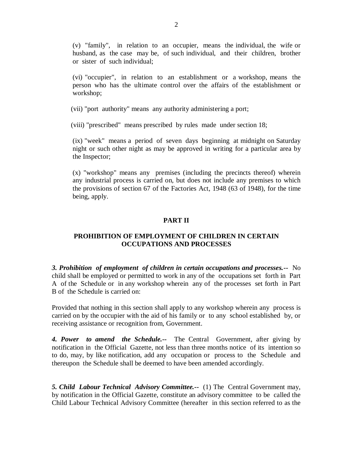(v) "family", in relation to an occupier, means the individual, the wife or husband, as the case may be, of such individual, and their children, brother or sister of such individual;

(vi) "occupier", in relation to an establishment or a workshop, means the person who has the ultimate control over the affairs of the establishment or workshop;

(vii) "port authority" means any authority administering a port;

(viii) "prescribed" means prescribed by rules made under section 18;

(ix) "week" means a period of seven days beginning at midnight on Saturday night or such other night as may be approved in writing for a particular area by the Inspector;

(x) "workshop" means any premises (including the precincts thereof) wherein any industrial process is carried on, but does not include any premises to which the provisions of section 67 of the Factories Act, 1948 (63 of 1948), for the time being, apply.

# **PART II**

# **PROHIBITION OF EMPLOYMENT OF CHILDREN IN CERTAIN OCCUPATIONS AND PROCESSES**

*3. Prohibition of employment of children in certain occupations and processes.--* No child shall be employed or permitted to work in any of the occupations set forth in Part A of the Schedule or in any workshop wherein any of the processes set forth in Part B of the Schedule is carried on:

Provided that nothing in this section shall apply to any workshop wherein any process is carried on by the occupier with the aid of his family or to any school established by, or receiving assistance or recognition from, Government.

*4. Power to amend the Schedule.--* The Central Government, after giving by notification in the Official Gazette, not less than three months notice of its intention so to do, may, by like notification, add any occupation or process to the Schedule and thereupon the Schedule shall be deemed to have been amended accordingly.

*5. Child Labour Technical Advisory Committee.--* (1) The Central Government may, by notification in the Official Gazette, constitute an advisory committee to be called the Child Labour Technical Advisory Committee (hereafter in this section referred to as the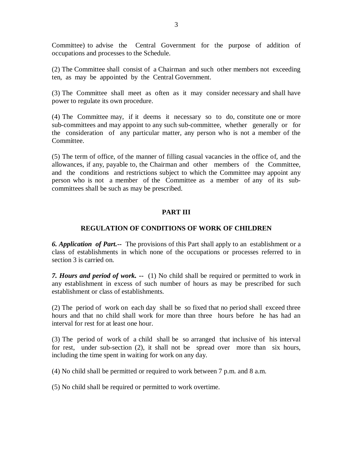Committee) to advise the Central Government for the purpose of addition of occupations and processes to the Schedule.

(2) The Committee shall consist of a Chairman and such other members not exceeding ten, as may be appointed by the Central Government.

(3) The Committee shall meet as often as it may consider necessary and shall have power to regulate its own procedure.

(4) The Committee may, if it deems it necessary so to do, constitute one or more sub-committees and may appoint to any such sub-committee, whether generally or for the consideration of any particular matter, any person who is not a member of the Committee.

(5) The term of office, of the manner of filling casual vacancies in the office of, and the allowances, if any, payable to, the Chairman and other members of the Committee, and the conditions and restrictions subject to which the Committee may appoint any person who is not a member of the Committee as a member of any of its subcommittees shall be such as may be prescribed.

# **PART III**

## **REGULATION OF CONDITIONS OF WORK OF CHILDREN**

*6. Application of Part.--* The provisions of this Part shall apply to an establishment or a class of establishments in which none of the occupations or processes referred to in section 3 is carried on.

*7. Hours and period of work. --* (1) No child shall be required or permitted to work in any establishment in excess of such number of hours as may be prescribed for such establishment or class of establishments.

(2) The period of work on each day shall be so fixed that no period shall exceed three hours and that no child shall work for more than three hours before he has had an interval for rest for at least one hour.

(3) The period of work of a child shall be so arranged that inclusive of his interval for rest, under sub-section (2), it shall not be spread over more than six hours, including the time spent in waiting for work on any day.

(4) No child shall be permitted or required to work between 7 p.m. and 8 a.m.

(5) No child shall be required or permitted to work overtime.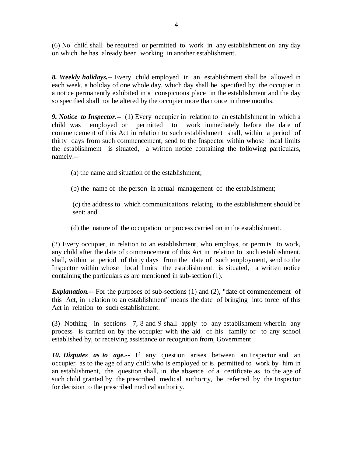(6) No child shall be required or permitted to work in any establishment on any day on which he has already been working in another establishment.

*8. Weekly holidays.--* Every child employed in an establishment shall be allowed in each week, a holiday of one whole day, which day shall be specified by the occupier in a notice permanently exhibited in a conspicuous place in the establishment and the day so specified shall not be altered by the occupier more than once in three months.

*9. Notice to Inspector.--* (1) Every occupier in relation to an establishment in which a child was employed or permitted to work immediately before the date of commencement of this Act in relation to such establishment shall, within a period of thirty days from such commencement, send to the Inspector within whose local limits the establishment is situated, a written notice containing the following particulars, namely:--

(a) the name and situation of the establishment;

(b) the name of the person in actual management of the establishment;

(c) the address to which communications relating to the establishment should be sent; and

(d) the nature of the occupation or process carried on in the establishment.

(2) Every occupier, in relation to an establishment, who employs, or permits to work, any child after the date of commencement of this Act in relation to such establishment, shall, within a period of thirty days from the date of such employment, send to the Inspector within whose local limits the establishment is situated, a written notice containing the particulars as are mentioned in sub-section (1).

*Explanation.*-- For the purposes of sub-sections (1) and (2), "date of commencement of this Act, in relation to an establishment" means the date of bringing into force of this Act in relation to such establishment.

(3) Nothing in sections 7, 8 and 9 shall apply to any establishment wherein any process is carried on by the occupier with the aid of his family or to any school established by, or receiving assistance or recognition from, Government.

*10. Disputes as to age.--* If any question arises between an Inspector and an occupier as to the age of any child who is employed or is permitted to work by him in an establishment, the question shall, in the absence of a certificate as to the age of such child granted by the prescribed medical authority, be referred by the Inspector for decision to the prescribed medical authority.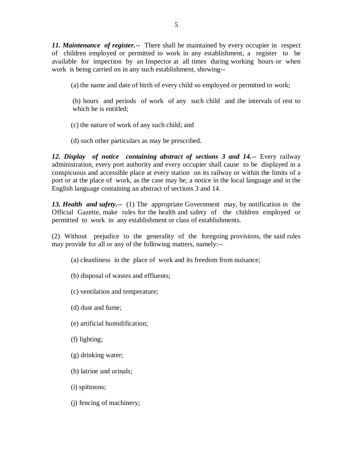*11. Maintenance of register.--* There shall be maintained by every occupier in respect of children employed or permitted to work in any establishment, a register to be available for inspection by an Inspector at all times during working hours or when work is being carried on in any such establishment, showing--

(a) the name and date of birth of every child so employed or permitted to work;

(b) hours and periods of work of any such child and the intervals of rest to which he is entitled;

- (c) the nature of work of any such child; and
- (d) such other particulars as may be prescribed.

*12. Display of notice containing abstract of sections 3 and 14.--* Every railway administration, every port authority and every occupier shall cause to be displayed in a conspicuous and accessible place at every station on its railway or within the limits of a port or at the place of work, as the case may be, a notice in the local language and in the English language containing an abstract of sections 3 and 14.

*13. Health and safety.--* (1) The appropriate Government may, by notification in the Official Gazette, make rules for the health and safety of the children employed or permitted to work in any establishment or class of establishments.

(2) Without prejudice to the generality of the foregoing provisions, the said rules may provide for all or any of the following matters, namely:--

- (a) cleanliness in the place of work and its freedom from nuisance;
- (b) disposal of wastes and effluents;
- (c) ventilation and temperature;
- (d) dust and fume;
- (e) artificial humidification;
- (f) lighting;
- (g) drinking water;
- (h) latrine and urinals;
- (i) spittoons;
- (j) fencing of machinery;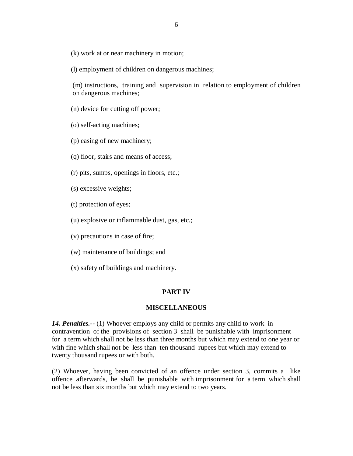(k) work at or near machinery in motion;

(l) employment of children on dangerous machines;

(m) instructions, training and supervision in relation to employment of children on dangerous machines;

(n) device for cutting off power;

(o) self-acting machines;

- (p) easing of new machinery;
- (q) floor, stairs and means of access;
- (r) pits, sumps, openings in floors, etc.;
- (s) excessive weights;
- (t) protection of eyes;
- (u) explosive or inflammable dust, gas, etc.;
- (v) precautions in case of fire;
- (w) maintenance of buildings; and
- (x) safety of buildings and machinery.

#### **PART IV**

#### **MISCELLANEOUS**

*14. Penalties.--* (1) Whoever employs any child or permits any child to work in contravention of the provisions of section 3 shall be punishable with imprisonment for a term which shall not be less than three months but which may extend to one year or with fine which shall not be less than ten thousand rupees but which may extend to twenty thousand rupees or with both.

(2) Whoever, having been convicted of an offence under section 3, commits a like offence afterwards, he shall be punishable with imprisonment for a term which shall not be less than six months but which may extend to two years.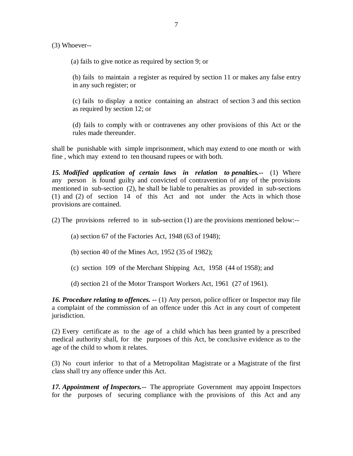(3) Whoever--

(a) fails to give notice as required by section 9; or

(b) fails to maintain a register as required by section 11 or makes any false entry in any such register; or

(c) fails to display a notice containing an abstract of section 3 and this section as required by section 12; or

(d) fails to comply with or contravenes any other provisions of this Act or the rules made thereunder.

shall be punishable with simple imprisonment, which may extend to one month or with fine , which may extend to ten thousand rupees or with both.

*15. Modified application of certain laws in relation to penalties.--* (1) Where any person is found guilty and convicted of contravention of any of the provisions mentioned in sub-section (2), he shall be liable to penalties as provided in sub-sections (1) and (2) of section 14 of this Act and not under the Acts in which those provisions are contained.

(2) The provisions referred to in sub-section (1) are the provisions mentioned below:--

(a) section 67 of the Factories Act, 1948 (63 of 1948);

(b) section 40 of the Mines Act, 1952 (35 of 1982);

- (c) section 109 of the Merchant Shipping Act, 1958 (44 of 1958); and
- (d) section 21 of the Motor Transport Workers Act, 1961 (27 of 1961).

*16. Procedure relating to offences. --* (1) Any person, police officer or Inspector may file a complaint of the commission of an offence under this Act in any court of competent jurisdiction.

(2) Every certificate as to the age of a child which has been granted by a prescribed medical authority shall, for the purposes of this Act, be conclusive evidence as to the age of the child to whom it relates.

(3) No court inferior to that of a Metropolitan Magistrate or a Magistrate of the first class shall try any offence under this Act.

*17. Appointment of Inspectors.--* The appropriate Government may appoint Inspectors for the purposes of securing compliance with the provisions of this Act and any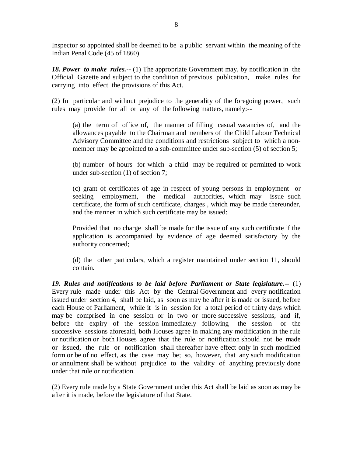Inspector so appointed shall be deemed to be a public servant within the meaning of the Indian Penal Code (45 of 1860).

*18. Power to make rules.--* (1) The appropriate Government may, by notification in the Official Gazette and subject to the condition of previous publication, make rules for carrying into effect the provisions of this Act.

(2) In particular and without prejudice to the generality of the foregoing power, such rules may provide for all or any of the following matters, namely:--

(a) the term of office of, the manner of filling casual vacancies of, and the allowances payable to the Chairman and members of the Child Labour Technical Advisory Committee and the conditions and restrictions subject to which a nonmember may be appointed to a sub-committee under sub-section  $(5)$  of section 5;

(b) number of hours for which a child may be required or permitted to work under sub-section (1) of section 7;

(c) grant of certificates of age in respect of young persons in employment or seeking employment, the medical authorities, which may issue such certificate, the form of such certificate, charges , which may be made thereunder, and the manner in which such certificate may be issued:

Provided that no charge shall be made for the issue of any such certificate if the application is accompanied by evidence of age deemed satisfactory by the authority concerned;

(d) the other particulars, which a register maintained under section 11, should contain.

*19. Rules and notifications to be laid before Parliament or State legislature.--* (1) Every rule made under this Act by the Central Government and every notification issued under section 4, shall be laid, as soon as may be after it is made or issued, before each House of Parliament, while it is in session for a total period of thirty days which may be comprised in one session or in two or more successive sessions, and if, before the expiry of the session immediately following the session or the successive sessions aforesaid, both Houses agree in making any modification in the rule or notification or both Houses agree that the rule or notification should not be made or issued, the rule or notification shall thereafter have effect only in such modified form or be of no effect, as the case may be; so, however, that any such modification or annulment shall be without prejudice to the validity of anything previously done under that rule or notification.

(2) Every rule made by a State Government under this Act shall be laid as soon as may be after it is made, before the legislature of that State.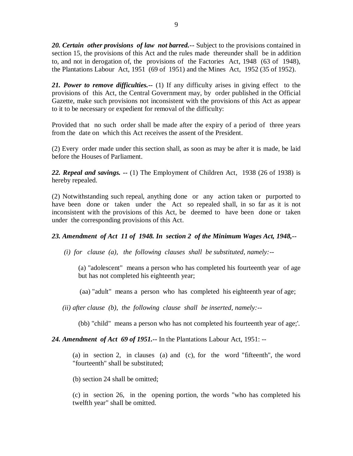*20. Certain other provisions of law not barred.--* Subject to the provisions contained in section 15, the provisions of this Act and the rules made thereunder shall be in addition to, and not in derogation of, the provisions of the Factories Act, 1948 (63 of 1948), the Plantations Labour Act, 1951 (69 of 1951) and the Mines Act, 1952 (35 of 1952).

*21. Power to remove difficulties.--* (1) If any difficulty arises in giving effect to the provisions of this Act, the Central Government may, by order published in the Official Gazette, make such provisions not inconsistent with the provisions of this Act as appear to it to be necessary or expedient for removal of the difficulty:

Provided that no such order shall be made after the expiry of a period of three years from the date on which this Act receives the assent of the President.

(2) Every order made under this section shall, as soon as may be after it is made, be laid before the Houses of Parliament.

*22. Repeal and savings. --* (1) The Employment of Children Act, 1938 (26 of 1938) is hereby repealed.

(2) Notwithstanding such repeal, anything done or any action taken or purported to have been done or taken under the Act so repealed shall, in so far as it is not inconsistent with the provisions of this Act, be deemed to have been done or taken under the corresponding provisions of this Act.

# *23. Amendment of Act 11 of 1948. In section 2 of the Minimum Wages Act, 1948,--*

*(i) for clause (a), the following clauses shall be substituted, namely:--*

(a) "adolescent" means a person who has completed his fourteenth year of age but has not completed his eighteenth year;

(aa) "adult" means a person who has completed his eighteenth year of age;

 *(ii) after clause (b), the following clause shall be inserted, namely:--*

(bb) "child" means a person who has not completed his fourteenth year of age;'.

## *24. Amendment of Act 69 of 1951.--* In the Plantations Labour Act, 1951: --

(a) in section 2, in clauses (a) and (c), for the word "fifteenth", the word "fourteenth" shall be substituted;

(b) section 24 shall be omitted;

(c) in section 26, in the opening portion, the words "who has completed his twelfth year" shall be omitted.